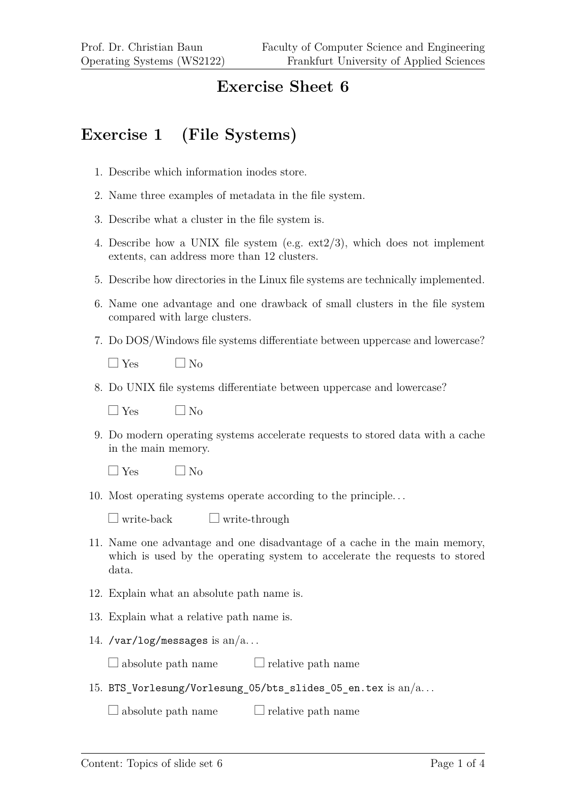## **Exercise Sheet 6**

## **Exercise 1 (File Systems)**

- 1. Describe which information inodes store.
- 2. Name three examples of metadata in the file system.
- 3. Describe what a cluster in the file system is.
- 4. Describe how a UNIX file system (e.g. ext2/3), which does not implement extents, can address more than 12 clusters.
- 5. Describe how directories in the Linux file systems are technically implemented.
- 6. Name one advantage and one drawback of small clusters in the file system compared with large clusters.
- 7. Do DOS/Windows file systems differentiate between uppercase and lowercase?

 $\Box$  Yes  $\Box$  No

8. Do UNIX file systems differentiate between uppercase and lowercase?

 $\Box$  Yes  $\Box$  No

9. Do modern operating systems accelerate requests to stored data with a cache in the main memory.

 $\Box$  Yes  $\Box$  No

10. Most operating systems operate according to the principle. . .

 $\Box$  write-back  $\Box$  write-through

- 11. Name one advantage and one disadvantage of a cache in the main memory, which is used by the operating system to accelerate the requests to stored data.
- 12. Explain what an absolute path name is.
- 13. Explain what a relative path name is.
- 14. /var/log/messages is  $an/a$ ...

 $\Box$  absolute path name  $\Box$  relative path name

15. BTS Vorlesung/Vorlesung 05/bts slides 05 en.tex is an/a...

 $\Box$  absolute path name  $\Box$  relative path name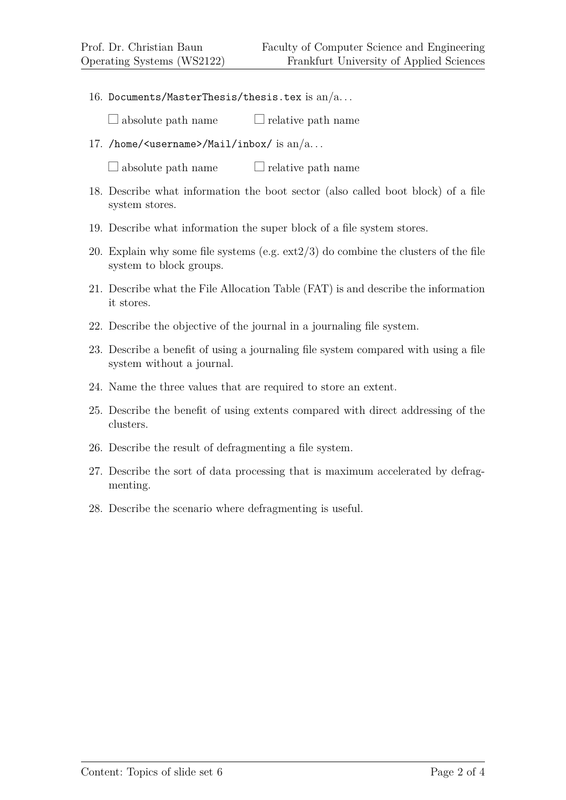16. Documents/MasterThesis/thesis.tex is  $an/a$ ...

 $\Box$  absolute path name  $\Box$  relative path name

17. /home/<username>/Mail/inbox/ is  $an/a$ ...

 $\Box$  absolute path name  $\Box$  relative path name

- 18. Describe what information the boot sector (also called boot block) of a file system stores.
- 19. Describe what information the super block of a file system stores.
- 20. Explain why some file systems (e.g.  $ext{2/3}$ ) do combine the clusters of the file system to block groups.
- 21. Describe what the File Allocation Table (FAT) is and describe the information it stores.
- 22. Describe the objective of the journal in a journaling file system.
- 23. Describe a benefit of using a journaling file system compared with using a file system without a journal.
- 24. Name the three values that are required to store an extent.
- 25. Describe the benefit of using extents compared with direct addressing of the clusters.
- 26. Describe the result of defragmenting a file system.
- 27. Describe the sort of data processing that is maximum accelerated by defragmenting.
- 28. Describe the scenario where defragmenting is useful.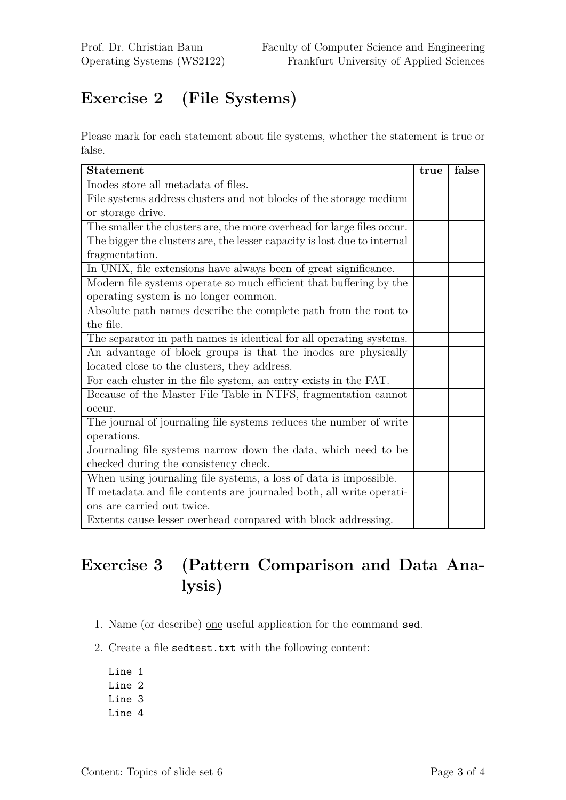## **Exercise 2 (File Systems)**

Please mark for each statement about file systems, whether the statement is true or false.

| <b>Statement</b>                                                         | true | false |
|--------------------------------------------------------------------------|------|-------|
| Inodes store all metadata of files.                                      |      |       |
| File systems address clusters and not blocks of the storage medium       |      |       |
| or storage drive.                                                        |      |       |
| The smaller the clusters are, the more overhead for large files occur.   |      |       |
| The bigger the clusters are, the lesser capacity is lost due to internal |      |       |
| fragmentation.                                                           |      |       |
| In UNIX, file extensions have always been of great significance.         |      |       |
| Modern file systems operate so much efficient that buffering by the      |      |       |
| operating system is no longer common.                                    |      |       |
| Absolute path names describe the complete path from the root to          |      |       |
| the file.                                                                |      |       |
| The separator in path names is identical for all operating systems.      |      |       |
| An advantage of block groups is that the inodes are physically           |      |       |
| located close to the clusters, they address.                             |      |       |
| For each cluster in the file system, an entry exists in the FAT.         |      |       |
| Because of the Master File Table in NTFS, fragmentation cannot           |      |       |
| occur.                                                                   |      |       |
| The journal of journaling file systems reduces the number of write       |      |       |
| operations.                                                              |      |       |
| Journaling file systems narrow down the data, which need to be           |      |       |
| checked during the consistency check.                                    |      |       |
| When using journaling file systems, a loss of data is impossible.        |      |       |
| If metadata and file contents are journaled both, all write operati-     |      |       |
| ons are carried out twice.                                               |      |       |
| Extents cause lesser overhead compared with block addressing.            |      |       |

## **Exercise 3 (Pattern Comparison and Data Analysis)**

- 1. Name (or describe) one useful application for the command sed.
- 2. Create a file sedtest.txt with the following content:
	- Line 1 Line 2 Line 3 Line 4